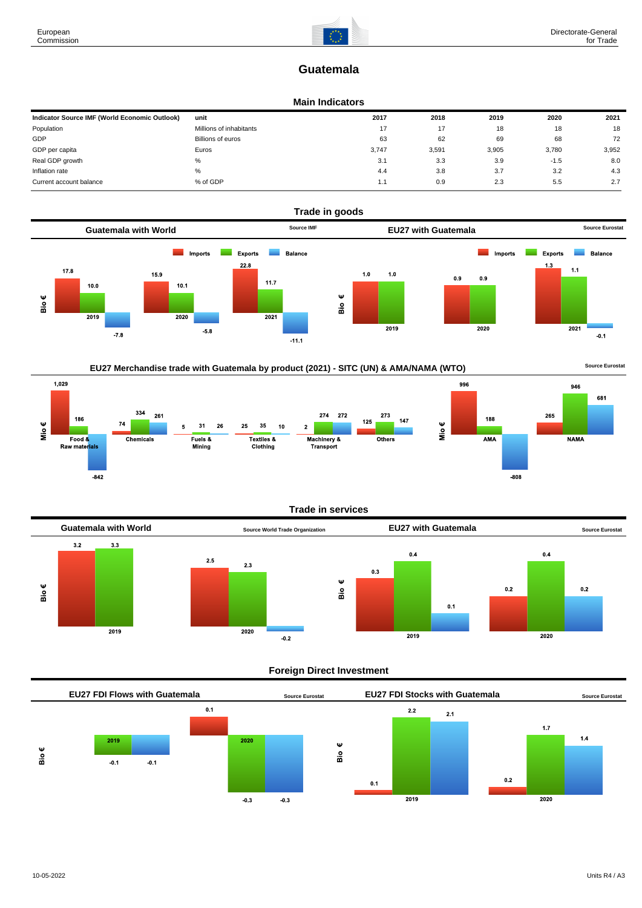## **Guatemala**

#### **Main Indicators**

| Indicator Source IMF (World Economic Outlook) | unit                    | 2017  | 2018  | 2019  | 2020   | 2021  |
|-----------------------------------------------|-------------------------|-------|-------|-------|--------|-------|
| Population                                    | Millions of inhabitants | 17    | 17    | 18    | 18     | 18    |
| GDP                                           | Billions of euros       | 63    | 62    | 69    | 68     | 72    |
| GDP per capita                                | Euros                   | 3.747 | 3,591 | 3,905 | 3.780  | 3,952 |
| Real GDP growth                               | %                       | 3.1   | 3.3   | 3.9   | $-1.5$ | 8.0   |
| Inflation rate                                | %                       | 4.4   | 3.8   | 3.7   | 3.2    | 4.3   |
| Current account balance                       | % of GDP                | 1.1   | 0.9   | 2.3   | 5.5    | 2.7   |





#### **Trade in services**



#### **Foreign Direct Investment**